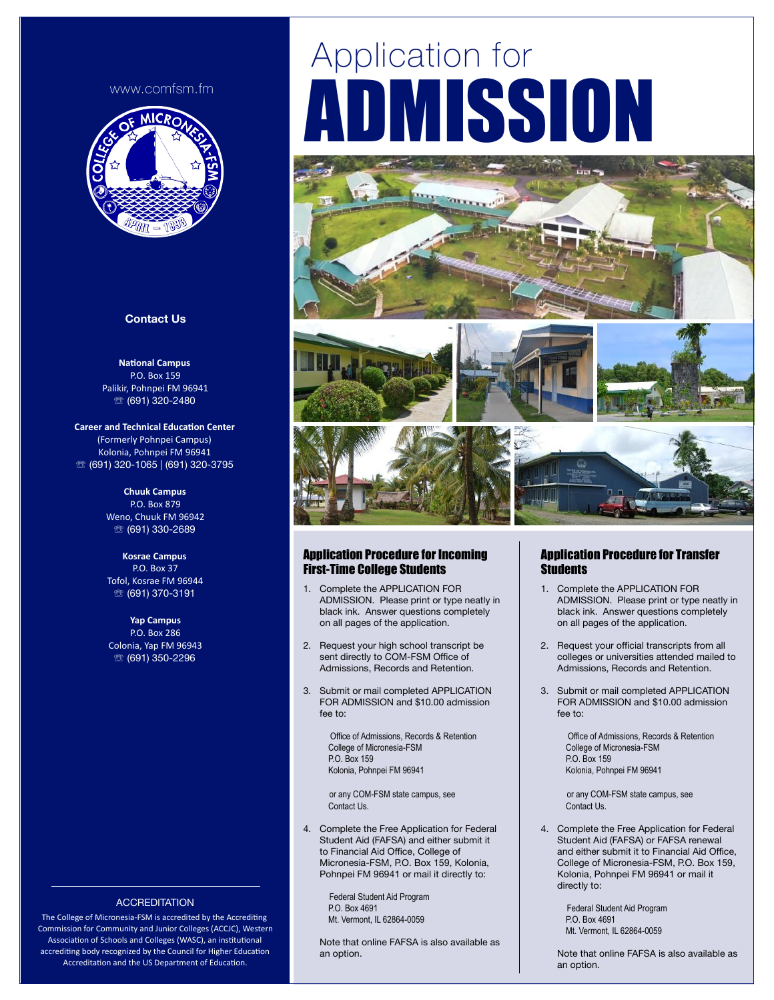#### [www.comfsm.fm](http://www.comfsm.fm)



#### **Contact Us**

**National Campus** P.O. Box 159 Palikir, Pohnpei FM 96941 ☏ (691) 320-2480

**Career and Technical Education Center** (Formerly Pohnpei Campus) Kolonia, Pohnpei FM 96941 ☏ (691) 320-1065 | (691) 320-3795

> **Chuuk Campus**  P.O. Box 879 Weno, Chuuk FM 96942 ☏ (691) 330-2689

**Kosrae Campus**  P.O. Box 37 Tofol, Kosrae FM 96944 ☏ (691) 370-3191

**Yap Campus**  P.O. Box 286 Colonia, Yap FM 96943 ☏ (691) 350-2296

# Application for ADMISSION









#### Application Procedure for Incoming First-Time College Students

- 1. Complete the APPLICATION FOR ADMISSION. Please print or type neatly in black ink. Answer questions completely on all pages of the application.
- 2. Request your high school transcript be sent directly to COM-FSM Office of Admissions, Records and Retention.
- 3. Submit or mail completed APPLICATION FOR ADMISSION and \$10.00 admission fee to:

 Office of Admissions, Records & Retention College of Micronesia-FSM P.O. Box 159 Kolonia, Pohnpei FM 96941

 or any COM-FSM state campus, see Contact Us.

4. Complete the Free Application for Federal Student Aid (FAFSA) and either submit it to Financial Aid Office, College of Micronesia-FSM, P.O. Box 159, Kolonia, Pohnpei FM 96941 or mail it directly to:

> Federal Student Aid Program P.O. Box 4691 Mt. Vermont, IL 62864-0059

Note that online FAFSA is also available as an option.

### Application Procedure for Transfer **Students**

- 1. Complete the APPLICATION FOR ADMISSION. Please print or type neatly in black ink. Answer questions completely on all pages of the application.
- 2. Request your official transcripts from all colleges or universities attended mailed to Admissions, Records and Retention.
- 3. Submit or mail completed APPLICATION FOR ADMISSION and \$10.00 admission fee to:

 Office of Admissions, Records & Retention College of Micronesia-FSM P.O. Box 159 Kolonia, Pohnpei FM 96941

 or any COM-FSM state campus, see Contact Us.

4. Complete the Free Application for Federal Student Aid (FAFSA) or FAFSA renewal and either submit it to Financial Aid Office, College of Micronesia-FSM, P.O. Box 159, Kolonia, Pohnpei FM 96941 or mail it directly to:

> Federal Student Aid Program P.O. Box 4691 Mt. Vermont, IL 62864-0059

Note that online FAFSA is also available as an option.

## **ACCREDITATION**

The College of Micronesia-FSM is accredited by the Accrediting Commission for Community and Junior Colleges (ACCJC), Western Association of Schools and Colleges (WASC), an institutional accrediting body recognized by the Council for Higher Education Accreditation and the US Department of Education.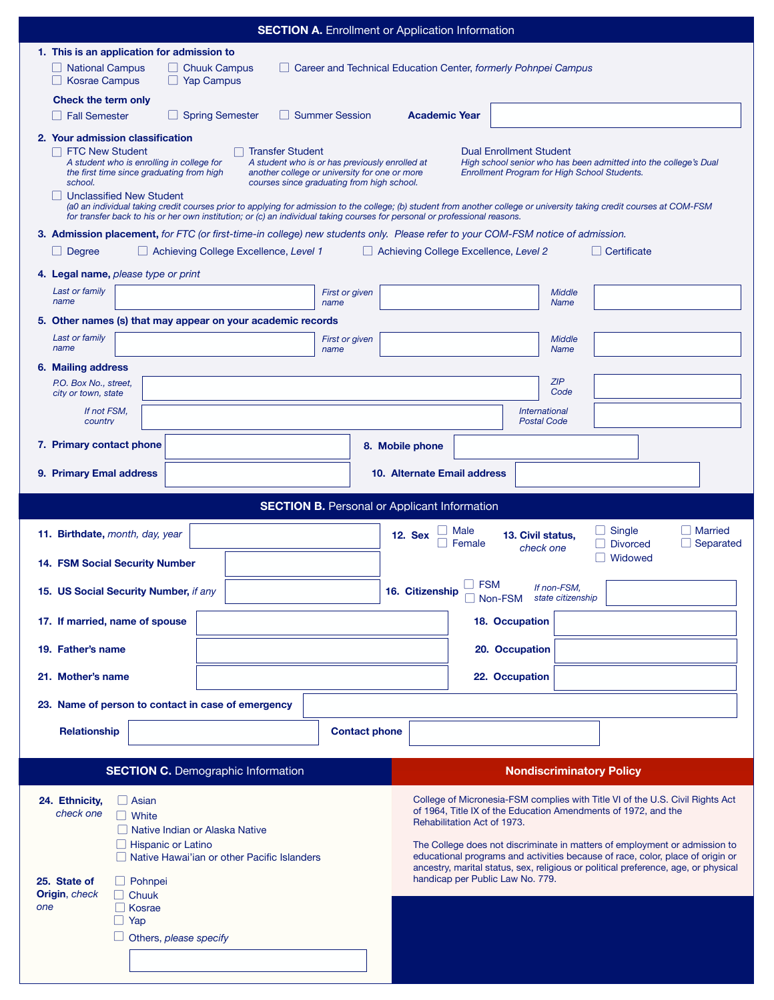| <b>SECTION A.</b> Enrollment or Application Information                                                                                                                                                                                                                                                                                                                                                                                                                                           |                                                                                                                                                              |  |  |  |  |  |  |
|---------------------------------------------------------------------------------------------------------------------------------------------------------------------------------------------------------------------------------------------------------------------------------------------------------------------------------------------------------------------------------------------------------------------------------------------------------------------------------------------------|--------------------------------------------------------------------------------------------------------------------------------------------------------------|--|--|--|--|--|--|
| 1. This is an application for admission to                                                                                                                                                                                                                                                                                                                                                                                                                                                        |                                                                                                                                                              |  |  |  |  |  |  |
| □ National Campus<br>$\Box$ Chuuk Campus<br><b>Kosrae Campus</b><br>$\Box$ Yap Campus                                                                                                                                                                                                                                                                                                                                                                                                             | Career and Technical Education Center, formerly Pohnpei Campus                                                                                               |  |  |  |  |  |  |
| Check the term only<br><b>Spring Semester</b><br><b>Summer Session</b><br><b>Fall Semester</b>                                                                                                                                                                                                                                                                                                                                                                                                    | <b>Academic Year</b>                                                                                                                                         |  |  |  |  |  |  |
| 2. Your admission classification<br><b>FTC New Student</b><br><b>Transfer Student</b><br><b>Dual Enrollment Student</b><br>A student who is enrolling in college for<br>A student who is or has previously enrolled at<br>High school senior who has been admitted into the college's Dual<br>the first time since graduating from high<br>another college or university for one or more<br>Enrollment Program for High School Students.<br>courses since graduating from high school.<br>school. |                                                                                                                                                              |  |  |  |  |  |  |
| <b>Unclassified New Student</b><br>(a0 an individual taking credit courses prior to applying for admission to the college; (b) student from another college or university taking credit courses at COM-FSM<br>for transfer back to his or her own institution; or (c) an individual taking courses for personal or professional reasons.                                                                                                                                                          |                                                                                                                                                              |  |  |  |  |  |  |
| 3. Admission placement, for FTC (or first-time-in college) new students only. Please refer to your COM-FSM notice of admission.                                                                                                                                                                                                                                                                                                                                                                   |                                                                                                                                                              |  |  |  |  |  |  |
| Achieving College Excellence, Level 1<br>Degree                                                                                                                                                                                                                                                                                                                                                                                                                                                   | Achieving College Excellence, Level 2<br>  Certificate                                                                                                       |  |  |  |  |  |  |
| 4. Legal name, please type or print                                                                                                                                                                                                                                                                                                                                                                                                                                                               |                                                                                                                                                              |  |  |  |  |  |  |
| Last or family<br><b>First or given</b><br>name<br>name                                                                                                                                                                                                                                                                                                                                                                                                                                           | Middle<br><b>Name</b>                                                                                                                                        |  |  |  |  |  |  |
| 5. Other names (s) that may appear on your academic records                                                                                                                                                                                                                                                                                                                                                                                                                                       |                                                                                                                                                              |  |  |  |  |  |  |
| Last or family<br>First or given<br>name<br>name                                                                                                                                                                                                                                                                                                                                                                                                                                                  | Middle<br><b>Name</b>                                                                                                                                        |  |  |  |  |  |  |
| 6. Mailing address<br>P.O. Box No., street,                                                                                                                                                                                                                                                                                                                                                                                                                                                       | ZIP                                                                                                                                                          |  |  |  |  |  |  |
| city or town, state                                                                                                                                                                                                                                                                                                                                                                                                                                                                               | Code                                                                                                                                                         |  |  |  |  |  |  |
| If not FSM,<br><b>International</b><br><b>Postal Code</b><br>country                                                                                                                                                                                                                                                                                                                                                                                                                              |                                                                                                                                                              |  |  |  |  |  |  |
| 7. Primary contact phone                                                                                                                                                                                                                                                                                                                                                                                                                                                                          | 8. Mobile phone                                                                                                                                              |  |  |  |  |  |  |
| 9. Primary Emal address<br>10. Alternate Email address                                                                                                                                                                                                                                                                                                                                                                                                                                            |                                                                                                                                                              |  |  |  |  |  |  |
|                                                                                                                                                                                                                                                                                                                                                                                                                                                                                                   | <b>SECTION B.</b> Personal or Applicant Information                                                                                                          |  |  |  |  |  |  |
|                                                                                                                                                                                                                                                                                                                                                                                                                                                                                                   |                                                                                                                                                              |  |  |  |  |  |  |
| 11. Birthdate, month, day, year                                                                                                                                                                                                                                                                                                                                                                                                                                                                   | Single<br><b>Married</b><br>Male<br><b>12. Sex</b><br>13. Civil status,<br>Separated<br>Female<br><b>Divorced</b>                                            |  |  |  |  |  |  |
| <b>14. FSM Social Security Number</b>                                                                                                                                                                                                                                                                                                                                                                                                                                                             | check one<br>Widowed                                                                                                                                         |  |  |  |  |  |  |
| 15. US Social Security Number, if any                                                                                                                                                                                                                                                                                                                                                                                                                                                             | $\Box$ FSM<br>If non-FSM,<br>16. Citizenship<br>state citizenship<br>Non-FSM                                                                                 |  |  |  |  |  |  |
| 17. If married, name of spouse                                                                                                                                                                                                                                                                                                                                                                                                                                                                    | 18. Occupation                                                                                                                                               |  |  |  |  |  |  |
| 19. Father's name                                                                                                                                                                                                                                                                                                                                                                                                                                                                                 | 20. Occupation                                                                                                                                               |  |  |  |  |  |  |
| 21. Mother's name                                                                                                                                                                                                                                                                                                                                                                                                                                                                                 | 22. Occupation                                                                                                                                               |  |  |  |  |  |  |
| 23. Name of person to contact in case of emergency                                                                                                                                                                                                                                                                                                                                                                                                                                                |                                                                                                                                                              |  |  |  |  |  |  |
| Relationship<br><b>Contact phone</b>                                                                                                                                                                                                                                                                                                                                                                                                                                                              |                                                                                                                                                              |  |  |  |  |  |  |
|                                                                                                                                                                                                                                                                                                                                                                                                                                                                                                   |                                                                                                                                                              |  |  |  |  |  |  |
| <b>SECTION C.</b> Demographic Information                                                                                                                                                                                                                                                                                                                                                                                                                                                         | <b>Nondiscriminatory Policy</b>                                                                                                                              |  |  |  |  |  |  |
| 24. Ethnicity,<br>$\Box$ Asian<br>check one<br>    White                                                                                                                                                                                                                                                                                                                                                                                                                                          | College of Micronesia-FSM complies with Title VI of the U.S. Civil Rights Act<br>of 1964, Title IX of the Education Amendments of 1972, and the              |  |  |  |  |  |  |
| Native Indian or Alaska Native                                                                                                                                                                                                                                                                                                                                                                                                                                                                    | Rehabilitation Act of 1973.                                                                                                                                  |  |  |  |  |  |  |
| Hispanic or Latino<br>Native Hawai'ian or other Pacific Islanders                                                                                                                                                                                                                                                                                                                                                                                                                                 | The College does not discriminate in matters of employment or admission to<br>educational programs and activities because of race, color, place of origin or |  |  |  |  |  |  |
| 25. State of<br>Pohnpei<br>$\mathbf{L}$                                                                                                                                                                                                                                                                                                                                                                                                                                                           | ancestry, marital status, sex, religious or political preference, age, or physical<br>handicap per Public Law No. 779.                                       |  |  |  |  |  |  |
| Origin, check<br>Chuuk<br>$\Box$<br>$\Box$ Kosrae<br>one                                                                                                                                                                                                                                                                                                                                                                                                                                          |                                                                                                                                                              |  |  |  |  |  |  |
| Yap                                                                                                                                                                                                                                                                                                                                                                                                                                                                                               |                                                                                                                                                              |  |  |  |  |  |  |
| Others, please specify                                                                                                                                                                                                                                                                                                                                                                                                                                                                            |                                                                                                                                                              |  |  |  |  |  |  |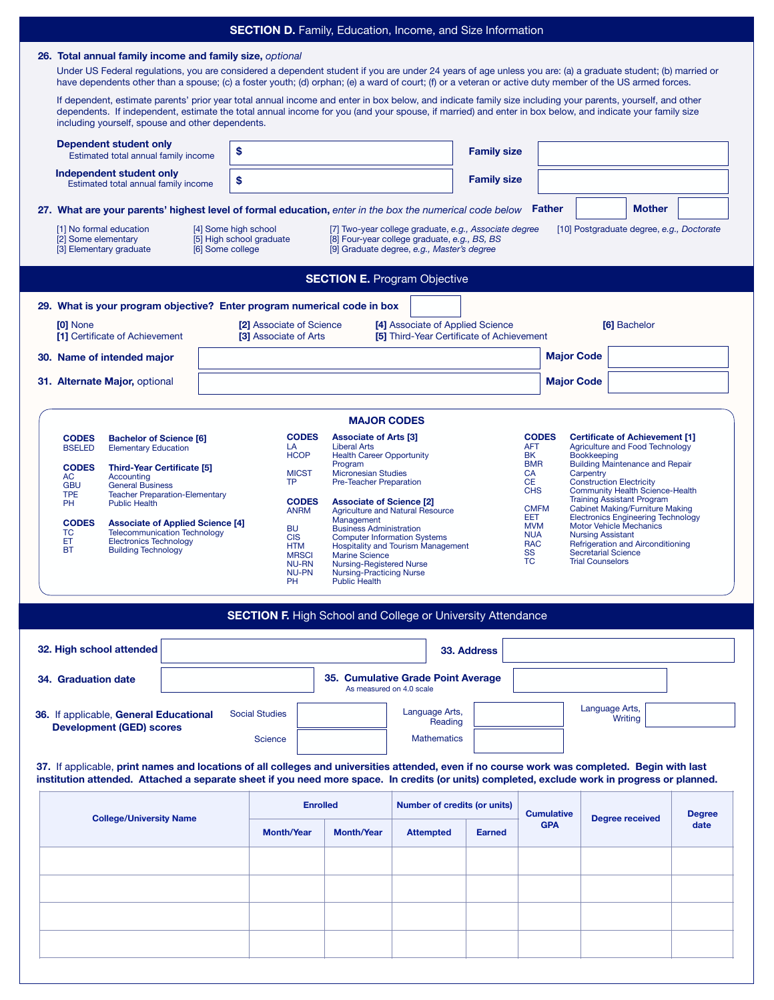| <b>SECTION D.</b> Family, Education, Income, and Size Information                                                                                                                                                                                                                                                                                                                                                                                                                                                                                                                                                                                                                                               |                                                                                                                                                                                                                                                                                                                                                                                                                                                                                                                                                                                                                                                                                                                                                                                                                                                                                                                                                                                                                                                                                                                                         |                                                         |                                                                                      |                    |                                 |                        |                       |
|-----------------------------------------------------------------------------------------------------------------------------------------------------------------------------------------------------------------------------------------------------------------------------------------------------------------------------------------------------------------------------------------------------------------------------------------------------------------------------------------------------------------------------------------------------------------------------------------------------------------------------------------------------------------------------------------------------------------|-----------------------------------------------------------------------------------------------------------------------------------------------------------------------------------------------------------------------------------------------------------------------------------------------------------------------------------------------------------------------------------------------------------------------------------------------------------------------------------------------------------------------------------------------------------------------------------------------------------------------------------------------------------------------------------------------------------------------------------------------------------------------------------------------------------------------------------------------------------------------------------------------------------------------------------------------------------------------------------------------------------------------------------------------------------------------------------------------------------------------------------------|---------------------------------------------------------|--------------------------------------------------------------------------------------|--------------------|---------------------------------|------------------------|-----------------------|
| 26. Total annual family income and family size, optional<br>Under US Federal regulations, you are considered a dependent student if you are under 24 years of age unless you are: (a) a graduate student; (b) married or<br>have dependents other than a spouse; (c) a foster youth; (d) orphan; (e) a ward of court; (f) or a veteran or active duty member of the US armed forces.<br>If dependent, estimate parents' prior year total annual income and enter in box below, and indicate family size including your parents, yourself, and other<br>dependents. If independent, estimate the total annual income for you (and your spouse, if married) and enter in box below, and indicate your family size |                                                                                                                                                                                                                                                                                                                                                                                                                                                                                                                                                                                                                                                                                                                                                                                                                                                                                                                                                                                                                                                                                                                                         |                                                         |                                                                                      |                    |                                 |                        |                       |
| including yourself, spouse and other dependents.<br>Dependent student only                                                                                                                                                                                                                                                                                                                                                                                                                                                                                                                                                                                                                                      |                                                                                                                                                                                                                                                                                                                                                                                                                                                                                                                                                                                                                                                                                                                                                                                                                                                                                                                                                                                                                                                                                                                                         |                                                         |                                                                                      |                    |                                 |                        |                       |
| Estimated total annual family income                                                                                                                                                                                                                                                                                                                                                                                                                                                                                                                                                                                                                                                                            | \$                                                                                                                                                                                                                                                                                                                                                                                                                                                                                                                                                                                                                                                                                                                                                                                                                                                                                                                                                                                                                                                                                                                                      |                                                         |                                                                                      | <b>Family size</b> |                                 |                        |                       |
| Independent student only<br>Estimated total annual family income                                                                                                                                                                                                                                                                                                                                                                                                                                                                                                                                                                                                                                                | \$<br><b>Family size</b>                                                                                                                                                                                                                                                                                                                                                                                                                                                                                                                                                                                                                                                                                                                                                                                                                                                                                                                                                                                                                                                                                                                |                                                         |                                                                                      |                    |                                 |                        |                       |
| <b>Mother</b><br>27. What are your parents' highest level of formal education, enter in the box the numerical code below Father                                                                                                                                                                                                                                                                                                                                                                                                                                                                                                                                                                                 |                                                                                                                                                                                                                                                                                                                                                                                                                                                                                                                                                                                                                                                                                                                                                                                                                                                                                                                                                                                                                                                                                                                                         |                                                         |                                                                                      |                    |                                 |                        |                       |
| [1] No formal education<br>[4] Some high school<br>[7] Two-year college graduate, e.g., Associate degree<br>[10] Postgraduate degree, e.g., Doctorate<br>[5] High school graduate<br>[8] Four-year college graduate, e.g., BS, BS<br>[2] Some elementary<br>[3] Elementary graduate<br>[6] Some college<br>[9] Graduate degree, e.g., Master's degree                                                                                                                                                                                                                                                                                                                                                           |                                                                                                                                                                                                                                                                                                                                                                                                                                                                                                                                                                                                                                                                                                                                                                                                                                                                                                                                                                                                                                                                                                                                         |                                                         |                                                                                      |                    |                                 |                        |                       |
| <b>SECTION E.</b> Program Objective                                                                                                                                                                                                                                                                                                                                                                                                                                                                                                                                                                                                                                                                             |                                                                                                                                                                                                                                                                                                                                                                                                                                                                                                                                                                                                                                                                                                                                                                                                                                                                                                                                                                                                                                                                                                                                         |                                                         |                                                                                      |                    |                                 |                        |                       |
| 29. What is your program objective? Enter program numerical code in box                                                                                                                                                                                                                                                                                                                                                                                                                                                                                                                                                                                                                                         |                                                                                                                                                                                                                                                                                                                                                                                                                                                                                                                                                                                                                                                                                                                                                                                                                                                                                                                                                                                                                                                                                                                                         |                                                         |                                                                                      |                    |                                 |                        |                       |
| <b>[0] None</b><br>[1] Certificate of Achievement                                                                                                                                                                                                                                                                                                                                                                                                                                                                                                                                                                                                                                                               | [2] Associate of Science<br>[3] Associate of Arts                                                                                                                                                                                                                                                                                                                                                                                                                                                                                                                                                                                                                                                                                                                                                                                                                                                                                                                                                                                                                                                                                       |                                                         | [4] Associate of Applied Science<br><b>[5] Third-Year Certificate of Achievement</b> |                    |                                 | [6] Bachelor           |                       |
| 30. Name of intended major                                                                                                                                                                                                                                                                                                                                                                                                                                                                                                                                                                                                                                                                                      |                                                                                                                                                                                                                                                                                                                                                                                                                                                                                                                                                                                                                                                                                                                                                                                                                                                                                                                                                                                                                                                                                                                                         |                                                         |                                                                                      |                    | <b>Major Code</b>               |                        |                       |
| 31. Alternate Major, optional                                                                                                                                                                                                                                                                                                                                                                                                                                                                                                                                                                                                                                                                                   |                                                                                                                                                                                                                                                                                                                                                                                                                                                                                                                                                                                                                                                                                                                                                                                                                                                                                                                                                                                                                                                                                                                                         |                                                         |                                                                                      |                    | <b>Major Code</b>               |                        |                       |
|                                                                                                                                                                                                                                                                                                                                                                                                                                                                                                                                                                                                                                                                                                                 |                                                                                                                                                                                                                                                                                                                                                                                                                                                                                                                                                                                                                                                                                                                                                                                                                                                                                                                                                                                                                                                                                                                                         | <b>MAJOR CODES</b>                                      |                                                                                      |                    |                                 |                        |                       |
| <b>CODES</b><br><b>Bachelor of Science [6]</b><br><b>BSELED</b><br><b>Elementary Education</b>                                                                                                                                                                                                                                                                                                                                                                                                                                                                                                                                                                                                                  | <b>CODES</b><br><b>Associate of Arts [3]</b><br><b>CODES</b><br><b>Certificate of Achievement [1]</b><br><b>Liberal Arts</b><br><b>AFT</b><br>Agriculture and Food Technology<br>LA                                                                                                                                                                                                                                                                                                                                                                                                                                                                                                                                                                                                                                                                                                                                                                                                                                                                                                                                                     |                                                         |                                                                                      |                    |                                 |                        |                       |
| <b>CODES</b><br><b>Third-Year Certificate [5]</b><br>AC<br>Accounting<br><b>GBU</b><br><b>General Business</b><br><b>TPE</b><br><b>Teacher Preparation-Elementary</b><br>PH<br><b>Public Health</b><br><b>CODES</b><br><b>Associate of Applied Science [4]</b><br><b>Telecommunication Technology</b><br>TC<br>ЕT<br><b>Electronics Technology</b><br><b>BT</b><br><b>Building Technology</b>                                                                                                                                                                                                                                                                                                                   | <b>HCOP</b><br><b>Health Career Opportunity</b><br>BK<br><b>Bookkeeping</b><br>Program<br><b>BMR</b><br><b>Building Maintenance and Repair</b><br><b>MICST</b><br><b>Micronesian Studies</b><br><b>CA</b><br>Carpentry<br>Pre-Teacher Preparation<br><b>CE</b><br><b>Construction Electricity</b><br>TP<br><b>CHS</b><br><b>Community Health Science-Health</b><br><b>Training Assistant Program</b><br><b>CODES</b><br><b>Associate of Science [2]</b><br><b>CMFM</b><br><b>Cabinet Making/Furniture Making</b><br><b>Agriculture and Natural Resource</b><br><b>ANRM</b><br><b>EET</b><br><b>Electronics Engineering Technology</b><br>Management<br><b>MVM</b><br><b>Motor Vehicle Mechanics</b><br><b>BU</b><br><b>Business Administration</b><br><b>Nursing Assistant</b><br><b>NUA</b><br><b>CIS</b><br><b>Computer Information Systems</b><br><b>RAC</b><br>Refrigeration and Airconditioning<br><b>Hospitality and Tourism Management</b><br><b>HTM</b><br>SS<br><b>Secretarial Science</b><br><b>Marine Science</b><br><b>MRSCI</b><br><b>TC</b><br><b>Trial Counselors</b><br><b>Nursing-Registered Nurse</b><br><b>NU-RN</b> |                                                         |                                                                                      |                    |                                 |                        |                       |
|                                                                                                                                                                                                                                                                                                                                                                                                                                                                                                                                                                                                                                                                                                                 | <b>NU-PN</b><br>PН                                                                                                                                                                                                                                                                                                                                                                                                                                                                                                                                                                                                                                                                                                                                                                                                                                                                                                                                                                                                                                                                                                                      | <b>Nursing-Practicing Nurse</b><br><b>Public Health</b> |                                                                                      |                    |                                 |                        |                       |
|                                                                                                                                                                                                                                                                                                                                                                                                                                                                                                                                                                                                                                                                                                                 | <b>SECTION F. High School and College or University Attendance</b>                                                                                                                                                                                                                                                                                                                                                                                                                                                                                                                                                                                                                                                                                                                                                                                                                                                                                                                                                                                                                                                                      |                                                         |                                                                                      |                    |                                 |                        |                       |
| 32. High school attended                                                                                                                                                                                                                                                                                                                                                                                                                                                                                                                                                                                                                                                                                        |                                                                                                                                                                                                                                                                                                                                                                                                                                                                                                                                                                                                                                                                                                                                                                                                                                                                                                                                                                                                                                                                                                                                         |                                                         |                                                                                      | 33. Address        |                                 |                        |                       |
| 34. Graduation date                                                                                                                                                                                                                                                                                                                                                                                                                                                                                                                                                                                                                                                                                             |                                                                                                                                                                                                                                                                                                                                                                                                                                                                                                                                                                                                                                                                                                                                                                                                                                                                                                                                                                                                                                                                                                                                         |                                                         | 35. Cumulative Grade Point Average                                                   |                    |                                 |                        |                       |
|                                                                                                                                                                                                                                                                                                                                                                                                                                                                                                                                                                                                                                                                                                                 |                                                                                                                                                                                                                                                                                                                                                                                                                                                                                                                                                                                                                                                                                                                                                                                                                                                                                                                                                                                                                                                                                                                                         | As measured on 4.0 scale                                |                                                                                      |                    |                                 | Language Arts,         |                       |
| 36. If applicable, General Educational<br><b>Development (GED) scores</b>                                                                                                                                                                                                                                                                                                                                                                                                                                                                                                                                                                                                                                       | <b>Social Studies</b>                                                                                                                                                                                                                                                                                                                                                                                                                                                                                                                                                                                                                                                                                                                                                                                                                                                                                                                                                                                                                                                                                                                   |                                                         | Language Arts,<br>Reading<br><b>Mathematics</b>                                      |                    |                                 | Writing                |                       |
| Science<br>37. If applicable, print names and locations of all colleges and universities attended, even if no course work was completed. Begin with last<br>institution attended. Attached a separate sheet if you need more space. In credits (or units) completed, exclude work in progress or planned.                                                                                                                                                                                                                                                                                                                                                                                                       |                                                                                                                                                                                                                                                                                                                                                                                                                                                                                                                                                                                                                                                                                                                                                                                                                                                                                                                                                                                                                                                                                                                                         |                                                         |                                                                                      |                    |                                 |                        |                       |
|                                                                                                                                                                                                                                                                                                                                                                                                                                                                                                                                                                                                                                                                                                                 | <b>Enrolled</b>                                                                                                                                                                                                                                                                                                                                                                                                                                                                                                                                                                                                                                                                                                                                                                                                                                                                                                                                                                                                                                                                                                                         |                                                         | Number of credits (or units)                                                         |                    |                                 |                        |                       |
| <b>College/University Name</b>                                                                                                                                                                                                                                                                                                                                                                                                                                                                                                                                                                                                                                                                                  | <b>Month/Year</b>                                                                                                                                                                                                                                                                                                                                                                                                                                                                                                                                                                                                                                                                                                                                                                                                                                                                                                                                                                                                                                                                                                                       | <b>Month/Year</b>                                       | <b>Attempted</b>                                                                     | <b>Earned</b>      | <b>Cumulative</b><br><b>GPA</b> | <b>Degree received</b> | <b>Degree</b><br>date |
|                                                                                                                                                                                                                                                                                                                                                                                                                                                                                                                                                                                                                                                                                                                 |                                                                                                                                                                                                                                                                                                                                                                                                                                                                                                                                                                                                                                                                                                                                                                                                                                                                                                                                                                                                                                                                                                                                         |                                                         |                                                                                      |                    |                                 |                        |                       |
|                                                                                                                                                                                                                                                                                                                                                                                                                                                                                                                                                                                                                                                                                                                 |                                                                                                                                                                                                                                                                                                                                                                                                                                                                                                                                                                                                                                                                                                                                                                                                                                                                                                                                                                                                                                                                                                                                         |                                                         |                                                                                      |                    |                                 |                        |                       |
|                                                                                                                                                                                                                                                                                                                                                                                                                                                                                                                                                                                                                                                                                                                 |                                                                                                                                                                                                                                                                                                                                                                                                                                                                                                                                                                                                                                                                                                                                                                                                                                                                                                                                                                                                                                                                                                                                         |                                                         |                                                                                      |                    |                                 |                        |                       |
|                                                                                                                                                                                                                                                                                                                                                                                                                                                                                                                                                                                                                                                                                                                 |                                                                                                                                                                                                                                                                                                                                                                                                                                                                                                                                                                                                                                                                                                                                                                                                                                                                                                                                                                                                                                                                                                                                         |                                                         |                                                                                      |                    |                                 |                        |                       |
|                                                                                                                                                                                                                                                                                                                                                                                                                                                                                                                                                                                                                                                                                                                 |                                                                                                                                                                                                                                                                                                                                                                                                                                                                                                                                                                                                                                                                                                                                                                                                                                                                                                                                                                                                                                                                                                                                         |                                                         |                                                                                      |                    |                                 |                        |                       |
|                                                                                                                                                                                                                                                                                                                                                                                                                                                                                                                                                                                                                                                                                                                 |                                                                                                                                                                                                                                                                                                                                                                                                                                                                                                                                                                                                                                                                                                                                                                                                                                                                                                                                                                                                                                                                                                                                         |                                                         |                                                                                      |                    |                                 |                        |                       |